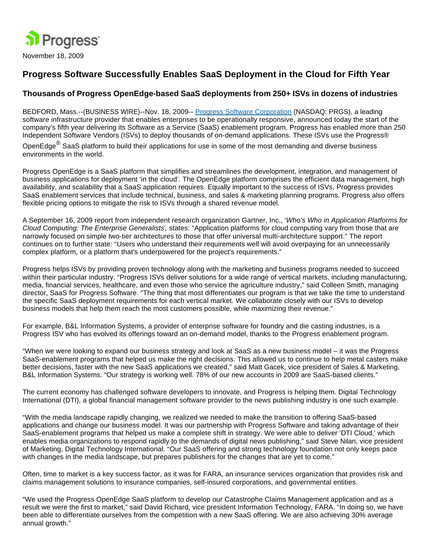

## **Progress Software Successfully Enables SaaS Deployment in the Cloud for Fifth Year**

## **Thousands of Progress OpenEdge-based SaaS deployments from 250+ ISVs in dozens of industries**

BEDFORD, Mass.--(BUSINESS WIRE)--Nov. 18, 2009-- [Progress Software Corporation](http://cts.businesswire.com/ct/CT?id=smartlink&url=http%3A%2F%2Fwww.progress.com%2Findex.ssp&esheet=6102883&lan=en_US&anchor=Progress+Software+Corporation&index=1&md5=46501c2e86bf624edc31fdd813da0725) (NASDAQ: PRGS), a leading software infrastructure provider that enables enterprises to be operationally responsive, announced today the start of the company's fifth year delivering its Software as a Service (SaaS) enablement program. Progress has enabled more than 250 Independent Software Vendors (ISVs) to deploy thousands of on-demand applications. These ISVs use the Progress®

OpenEdge<sup>®</sup> SaaS platform to build their applications for use in some of the most demanding and diverse business environments in the world.

Progress OpenEdge is a SaaS platform that simplifies and streamlines the development, integration, and management of business applications for deployment 'in the cloud'. The OpenEdge platform comprises the efficient data management, high availability, and scalability that a SaaS application requires. Equally important to the success of ISVs, Progress provides SaaS enablement services that include technical, business, and sales & marketing planning programs. Progress also offers flexible pricing options to mitigate the risk to ISVs through a shared revenue model.

A September 16, 2009 report from independent research organization Gartner, Inc., 'Who's Who in Application Platforms for Cloud Computing: The Enterprise Generalists', states: "Application platforms for cloud computing vary from those that are narrowly focused on simple two-tier architectures to those that offer universal multi-architecture support." The report continues on to further state: "Users who understand their requirements well will avoid overpaying for an unnecessarily complex platform, or a platform that's underpowered for the project's requirements."

Progress helps ISVs by providing proven technology along with the marketing and business programs needed to succeed within their particular industry. "Progress ISVs deliver solutions for a wide range of vertical markets, including manufacturing, media, financial services, healthcare, and even those who service the agriculture industry," said Colleen Smith, managing director, SaaS for Progress Software. "The thing that most differentiates our program is that we take the time to understand the specific SaaS deployment requirements for each vertical market. We collaborate closely with our ISVs to develop business models that help them reach the most customers possible, while maximizing their revenue."

For example, B&L Information Systems, a provider of enterprise software for foundry and die casting industries, is a Progress ISV who has evolved its offerings toward an on-demand model, thanks to the Progress enablement program.

"When we were looking to expand our business strategy and look at SaaS as a new business model – it was the Progress SaaS-enablement programs that helped us make the right decisions. This allowed us to continue to help metal casters make better decisions, faster with the new SaaS applications we created," said Matt Gacek, vice president of Sales & Marketing, B&L Information Systems. "Our strategy is working well. 78% of our new accounts in 2009 are SaaS-based clients."

The current economy has challenged software developers to innovate, and Progress is helping them. Digital Technology International (DTI), a global financial management software provider to the news publishing industry is one such example.

"With the media landscape rapidly changing, we realized we needed to make the transition to offering SaaS-based applications and change our business model. It was our partnership with Progress Software and taking advantage of their SaaS-enablement programs that helped us make a complete shift in strategy. We were able to deliver 'DTI Cloud,' which enables media organizations to respond rapidly to the demands of digital news publishing," said Steve Nilan, vice president of Marketing, Digital Technology International. "Our SaaS offering and strong technology foundation not only keeps pace with changes in the media landscape, but prepares publishers for the changes that are yet to come."

Often, time to market is a key success factor, as it was for FARA, an insurance services organization that provides risk and claims management solutions to insurance companies, self-insured corporations, and governmental entities.

"We used the Progress OpenEdge SaaS platform to develop our Catastrophe Claims Management application and as a result we were the first to market," said David Richard, vice president Information Technology, FARA. "In doing so, we have been able to differentiate ourselves from the competition with a new SaaS offering. We are also achieving 30% average annual growth."